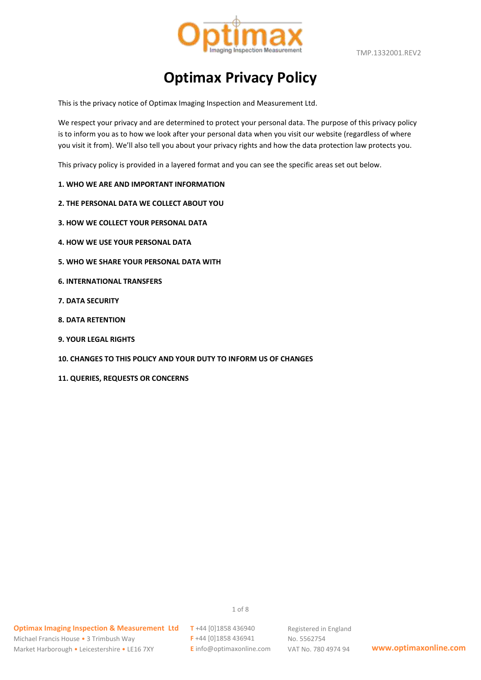

TMP.1332001.REV2

# **Optimax Privacy Policy**

This is the privacy notice of Optimax Imaging Inspection and Measurement Ltd.

We respect your privacy and are determined to protect your personal data. The purpose of this privacy policy is to inform you as to how we look after your personal data when you visit our website (regardless of where you visit it from). We'll also tell you about your privacy rights and how the data protection law protects you.

This privacy policy is provided in a layered format and you can see the specific areas set out below.

#### **1. WHO WE ARE AND IMPORTANT INFORMATION**

- **2. THE PERSONAL DATA WE COLLECT ABOUT YOU**
- **3. HOW WE COLLECT YOUR PERSONAL DATA**
- **4. HOW WE USE YOUR PERSONAL DATA**
- **5. WHO WE SHARE YOUR PERSONAL DATA WITH**
- **6. INTERNATIONAL TRANSFERS**
- **7. DATA SECURITY**
- **8. DATA RETENTION**
- **9. YOUR LEGAL RIGHTS**
- **10. CHANGES TO THIS POLICY AND YOUR DUTY TO INFORM US OF CHANGES**
- **11. QUERIES, REQUESTS OR CONCERNS**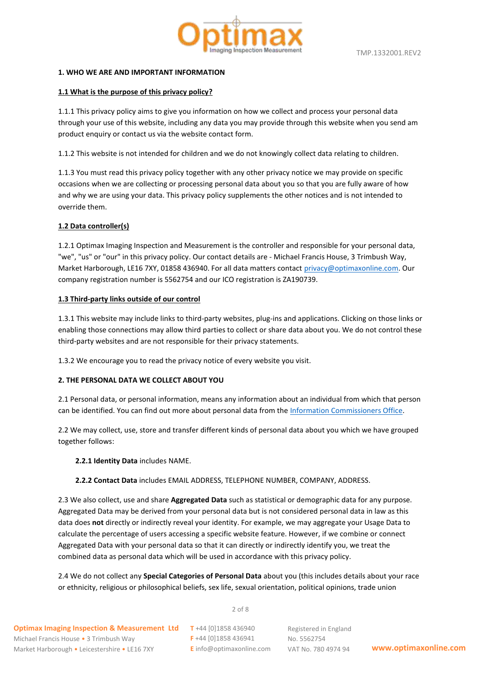

## **1. WHO WE ARE AND IMPORTANT INFORMATION**

# **1.1 What is the purpose of this privacy policy?**

1.1.1 This privacy policy aims to give you information on how we collect and process your personal data through your use of this website, including any data you may provide through this website when you send am product enquiry or contact us via the website contact form.

1.1.2 This website is not intended for children and we do not knowingly collect data relating to children.

1.1.3 You must read this privacy policy together with any other privacy notice we may provide on specific occasions when we are collecting or processing personal data about you so that you are fully aware of how and why we are using your data. This privacy policy supplements the other notices and is not intended to override them.

# **1.2 Data controller(s)**

1.2.1 Optimax Imaging Inspection and Measurement is the controller and responsible for your personal data, "we", "us" or "our" in this privacy policy. Our contact details are - Michael Francis House, 3 Trimbush Way, Market Harborough, LE16 7XY, 01858 436940. For all data matters contac[t privacy@optimaxonline.com.](mailto:privacy@optimaxonline.com) Our company registration number is 5562754 and our ICO registration is ZA190739.

# **1.3 Third-party links outside of our control**

1.3.1 This website may include links to third-party websites, plug-ins and applications. Clicking on those links or enabling those connections may allow third parties to collect or share data about you. We do not control these third-party websites and are not responsible for their privacy statements.

1.3.2 We encourage you to read the privacy notice of every website you visit.

# **2. THE PERSONAL DATA WE COLLECT ABOUT YOU**

2.1 Personal data, or personal information, means any information about an individual from which that person can be identified. You can find out more about personal data from the [Information Commissioners Office.](https://ico.org.uk/global/contact-us/)

2.2 We may collect, use, store and transfer different kinds of personal data about you which we have grouped together follows:

**2.2.1 Identity Data** includes NAME.

#### **2.2.2 Contact Data** includes EMAIL ADDRESS, TELEPHONE NUMBER, COMPANY, ADDRESS.

2.3 We also collect, use and share **Aggregated Data** such as statistical or demographic data for any purpose. Aggregated Data may be derived from your personal data but is not considered personal data in law as this data does **not** directly or indirectly reveal your identity. For example, we may aggregate your Usage Data to calculate the percentage of users accessing a specific website feature. However, if we combine or connect Aggregated Data with your personal data so that it can directly or indirectly identify you, we treat the combined data as personal data which will be used in accordance with this privacy policy.

2.4 We do not collect any **Special Categories of Personal Data** about you (this includes details about your race or ethnicity, religious or philosophical beliefs, sex life, sexual orientation, political opinions, trade union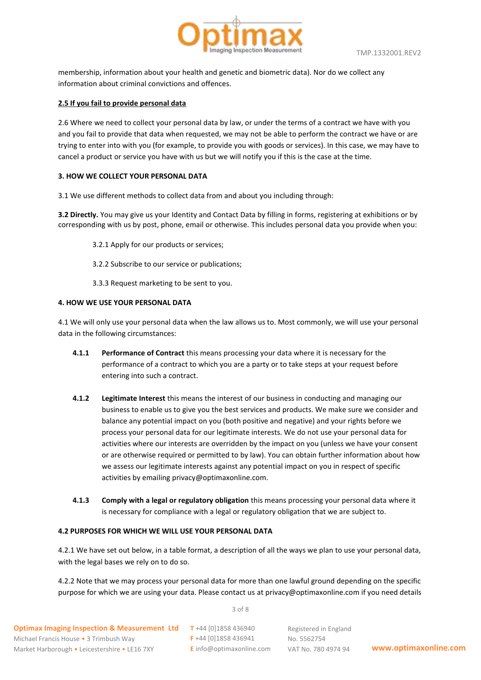



membership, information about your health and genetic and biometric data). Nor do we collect any information about criminal convictions and offences.

## **2.5 If you fail to provide personal data**

2.6 Where we need to collect your personal data by law, or under the terms of a contract we have with you and you fail to provide that data when requested, we may not be able to perform the contract we have or are trying to enter into with you (for example, to provide you with goods or services). In this case, we may have to cancel a product or service you have with us but we will notify you if this is the case at the time.

# **3. HOW WE COLLECT YOUR PERSONAL DATA**

3.1 We use different methods to collect data from and about you including through:

**3.2 Directly.** You may give us your Identity and Contact Data by filling in forms, registering at exhibitions or by corresponding with us by post, phone, email or otherwise. This includes personal data you provide when you:

- 3.2.1 Apply for our products or services;
- 3.2.2 Subscribe to our service or publications;

3.3.3 Request marketing to be sent to you.

# **4. HOW WE USE YOUR PERSONAL DATA**

4.1 We will only use your personal data when the law allows us to. Most commonly, we will use your personal data in the following circumstances:

- **4.1.1 Performance of Contract** this means processing your data where it is necessary for the performance of a contract to which you are a party or to take steps at your request before entering into such a contract.
- **4.1.2 Legitimate Interest** this means the interest of our business in conducting and managing our business to enable us to give you the best services and products. We make sure we consider and balance any potential impact on you (both positive and negative) and your rights before we process your personal data for our legitimate interests. We do not use your personal data for activities where our interests are overridden by the impact on you (unless we have your consent or are otherwise required or permitted to by law). You can obtain further information about how we assess our legitimate interests against any potential impact on you in respect of specific activities by emailing privacy@optimaxonline.com.
- **4.1.3 Comply with a legal or regulatory obligation** this means processing your personal data where it is necessary for compliance with a legal or regulatory obligation that we are subject to.

# **4.2 PURPOSES FOR WHICH WE WILL USE YOUR PERSONAL DATA**

4.2.1 We have set out below, in a table format, a description of all the ways we plan to use your personal data, with the legal bases we rely on to do so.

4.2.2 Note that we may process your personal data for more than one lawful ground depending on the specific purpose for which we are using your data. Please contact us at privacy@optimaxonline.com if you need details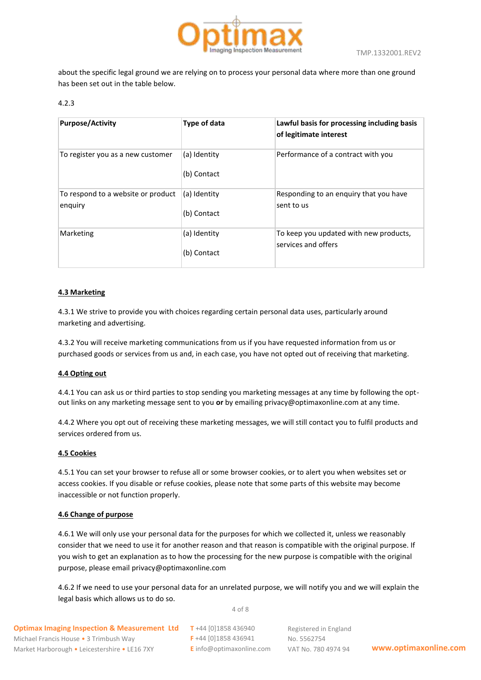

about the specific legal ground we are relying on to process your personal data where more than one ground has been set out in the table below.

# 4.2.3

| <b>Purpose/Activity</b>                       | Type of data                | Lawful basis for processing including basis<br>of legitimate interest |
|-----------------------------------------------|-----------------------------|-----------------------------------------------------------------------|
| To register you as a new customer             | (a) Identity<br>(b) Contact | Performance of a contract with you                                    |
| To respond to a website or product<br>enguiry | (a) Identity<br>(b) Contact | Responding to an enquiry that you have<br>sent to us                  |
| Marketing                                     | (a) Identity<br>(b) Contact | To keep you updated with new products,<br>services and offers         |

#### **4.3 Marketing**

4.3.1 We strive to provide you with choices regarding certain personal data uses, particularly around marketing and advertising.

4.3.2 You will receive marketing communications from us if you have requested information from us or purchased goods or services from us and, in each case, you have not opted out of receiving that marketing.

#### **4.4 Opting out**

4.4.1 You can ask us or third parties to stop sending you marketing messages at any time by following the optout links on any marketing message sent to you **or** by emailing privacy@optimaxonline.com at any time.

4.4.2 Where you opt out of receiving these marketing messages, we will still contact you to fulfil products and services ordered from us.

#### **4.5 Cookies**

4.5.1 You can set your browser to refuse all or some browser cookies, or to alert you when websites set or access cookies. If you disable or refuse cookies, please note that some parts of this website may become inaccessible or not function properly.

#### **4.6 Change of purpose**

4.6.1 We will only use your personal data for the purposes for which we collected it, unless we reasonably consider that we need to use it for another reason and that reason is compatible with the original purpose. If you wish to get an explanation as to how the processing for the new purpose is compatible with the original purpose, please email privacy@optimaxonline.com

4.6.2 If we need to use your personal data for an unrelated purpose, we will notify you and we will explain the legal basis which allows us to do so.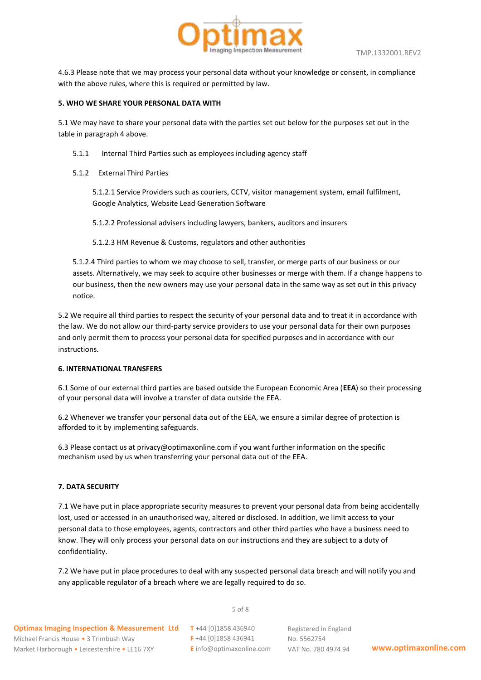

4.6.3 Please note that we may process your personal data without your knowledge or consent, in compliance with the above rules, where this is required or permitted by law.

#### **5. WHO WE SHARE YOUR PERSONAL DATA WITH**

5.1 We may have to share your personal data with the parties set out below for the purposes set out in the table in paragraph 4 above.

- 5.1.1 Internal Third Parties such as employees including agency staff
- 5.1.2 External Third Parties

5.1.2.1 Service Providers such as couriers, CCTV, visitor management system, email fulfilment, Google Analytics, Website Lead Generation Software

5.1.2.2 Professional advisers including lawyers, bankers, auditors and insurers

5.1.2.3 HM Revenue & Customs, regulators and other authorities

5.1.2.4 Third parties to whom we may choose to sell, transfer, or merge parts of our business or our assets. Alternatively, we may seek to acquire other businesses or merge with them. If a change happens to our business, then the new owners may use your personal data in the same way as set out in this privacy notice.

5.2 We require all third parties to respect the security of your personal data and to treat it in accordance with the law. We do not allow our third-party service providers to use your personal data for their own purposes and only permit them to process your personal data for specified purposes and in accordance with our instructions.

#### **6. INTERNATIONAL TRANSFERS**

6.1 Some of our external third parties are based outside the European Economic Area (**EEA**) so their processing of your personal data will involve a transfer of data outside the EEA.

6.2 Whenever we transfer your personal data out of the EEA, we ensure a similar degree of protection is afforded to it by implementing safeguards.

6.3 Please contact us at privacy@optimaxonline.com if you want further information on the specific mechanism used by us when transferring your personal data out of the EEA.

#### **7. DATA SECURITY**

7.1 We have put in place appropriate security measures to prevent your personal data from being accidentally lost, used or accessed in an unauthorised way, altered or disclosed. In addition, we limit access to your personal data to those employees, agents, contractors and other third parties who have a business need to know. They will only process your personal data on our instructions and they are subject to a duty of confidentiality.

7.2 We have put in place procedures to deal with any suspected personal data breach and will notify you and any applicable regulator of a breach where we are legally required to do so.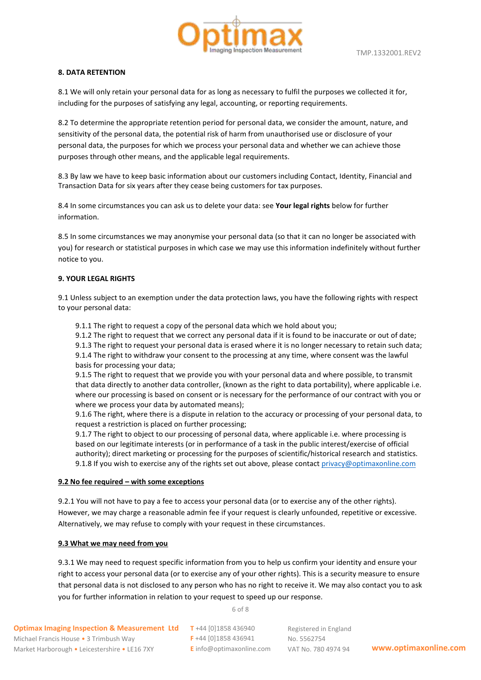

## **8. DATA RETENTION**

8.1 We will only retain your personal data for as long as necessary to fulfil the purposes we collected it for, including for the purposes of satisfying any legal, accounting, or reporting requirements.

8.2 To determine the appropriate retention period for personal data, we consider the amount, nature, and sensitivity of the personal data, the potential risk of harm from unauthorised use or disclosure of your personal data, the purposes for which we process your personal data and whether we can achieve those purposes through other means, and the applicable legal requirements.

8.3 By law we have to keep basic information about our customers including Contact, Identity, Financial and Transaction Data for six years after they cease being customers for tax purposes.

8.4 In some circumstances you can ask us to delete your data: see **Your legal rights** below for further information.

8.5 In some circumstances we may anonymise your personal data (so that it can no longer be associated with you) for research or statistical purposes in which case we may use this information indefinitely without further notice to you.

#### **9. YOUR LEGAL RIGHTS**

9.1 Unless subject to an exemption under the data protection laws, you have the following rights with respect to your personal data:

9.1.1 The right to request a copy of the personal data which we hold about you;

9.1.2 The right to request that we correct any personal data if it is found to be inaccurate or out of date;

9.1.3 The right to request your personal data is erased where it is no longer necessary to retain such data;

9.1.4 The right to withdraw your consent to the processing at any time, where consent was the lawful basis for processing your data;

9.1.5 The right to request that we provide you with your personal data and where possible, to transmit that data directly to another data controller, (known as the right to data portability), where applicable i.e. where our processing is based on consent or is necessary for the performance of our contract with you or where we process your data by automated means);

9.1.6 The right, where there is a dispute in relation to the accuracy or processing of your personal data, to request a restriction is placed on further processing;

9.1.7 The right to object to our processing of personal data, where applicable i.e. where processing is based on our legitimate interests (or in performance of a task in the public interest/exercise of official authority); direct marketing or processing for the purposes of scientific/historical research and statistics. 9.1.8 If you wish to exercise any of the rights set out above, please contact  $\frac{prior}{q}$  optimaxonline.com

#### **9.2 No fee required – with some exceptions**

9.2.1 You will not have to pay a fee to access your personal data (or to exercise any of the other rights). However, we may charge a reasonable admin fee if your request is clearly unfounded, repetitive or excessive. Alternatively, we may refuse to comply with your request in these circumstances.

#### **9.3 What we may need from you**

9.3.1 We may need to request specific information from you to help us confirm your identity and ensure your right to access your personal data (or to exercise any of your other rights). This is a security measure to ensure that personal data is not disclosed to any person who has no right to receive it. We may also contact you to ask you for further information in relation to your request to speed up our response.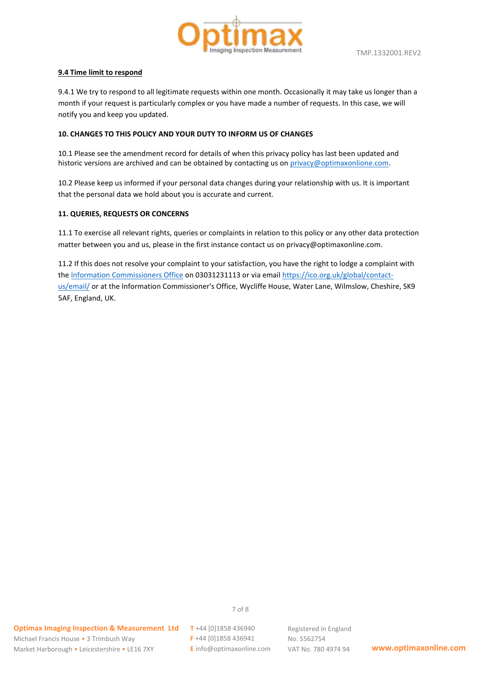

## **9.4 Time limit to respond**

9.4.1 We try to respond to all legitimate requests within one month. Occasionally it may take us longer than a month if your request is particularly complex or you have made a number of requests. In this case, we will notify you and keep you updated.

# **10. CHANGES TO THIS POLICY AND YOUR DUTY TO INFORM US OF CHANGES**

10.1 Please see the amendment record for details of when this privacy policy has last been updated and historic versions are archived and can be obtained by contacting us on [privacy@optimaxonlione.com.](mailto:privacy@optimaxonlione.com)

10.2 Please keep us informed if your personal data changes during your relationship with us. It is important that the personal data we hold about you is accurate and current.

# **11. QUERIES, REQUESTS OR CONCERNS**

11.1 To exercise all relevant rights, queries or complaints in relation to this policy or any other data protection matter between you and us, please in the first instance contact us on privacy@optimaxonline.com.

11.2 If this does not resolve your complaint to your satisfaction, you have the right to lodge a complaint with the [Information Commissioners Office](https://ico.org.uk/global/contact-us/) on 03031231113 or via emai[l https://ico.org.uk/global/contact](https://ico.org.uk/global/contact-us/email/)[us/email/](https://ico.org.uk/global/contact-us/email/) or at the Information Commissioner's Office, Wycliffe House, Water Lane, Wilmslow, Cheshire, SK9 5AF, England, UK.

**F** +44 [0]1858 436941 **E** info@optimaxonline.com